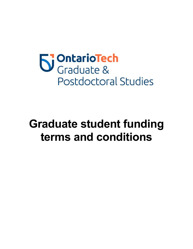

# **Graduate student funding terms and conditions**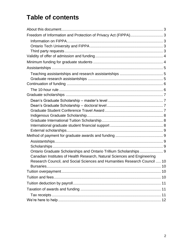# **Table of contents**

| Ontario Graduate Scholarships and Ontario Trillium Scholarships 9                                                                                     |  |
|-------------------------------------------------------------------------------------------------------------------------------------------------------|--|
| Canadian Institutes of Health Research, Natural Sciences and Engineering<br>Research Council, and Social Sciences and Humanities Research Council  10 |  |
|                                                                                                                                                       |  |
|                                                                                                                                                       |  |
|                                                                                                                                                       |  |
|                                                                                                                                                       |  |
|                                                                                                                                                       |  |
|                                                                                                                                                       |  |
|                                                                                                                                                       |  |
|                                                                                                                                                       |  |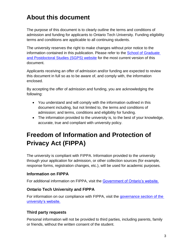### <span id="page-2-0"></span>**About this document**

The purpose of this document is to clearly outline the terms and conditions of admission and funding for applicants to Ontario Tech University. Funding eligibility terms and conditions are applicable to all continuing students.

The university reserves the right to make changes without prior notice to the information contained in this publication. Please refer to the [School of Graduate](https://gradstudies.ontariotechu.ca/current_students/student_finances/graduate_funding/index.php)  [and Postdoctoral Studies](https://gradstudies.ontariotechu.ca/current_students/student_finances/graduate_funding/index.php) (SGPS) website for the most current version of this document.

Applicants receiving an offer of admission and/or funding are expected to review this document in full so as to be aware of, and comply with, the information enclosed.

By accepting the offer of admission and funding, you are acknowledging the following:

- You understand and will comply with the information outlined in this document including, but not limited to, the terms and conditions of admission; and terms, conditions and eligibility for funding.
- The information provided to the university is, to the best of your knowledge, accurate, true and compliant with university policy.

# <span id="page-2-1"></span>**Freedom of Information and Protection of Privacy Act (FIPPA)**

The university is compliant with FIPPA. Information provided to the university through your application for admission, or other collection sources (for example, response forms, registration changes, etc.), will be used for academic purposes.

#### <span id="page-2-2"></span>**Information on FIPPA**

For additional information on FIPPA, visit the [Government of Ontario's website.](http://www.e-laws.gov.on.ca/html/statutes/english/elaws_statutes_90f31_e.htm)

#### <span id="page-2-3"></span>**Ontario Tech University and FIPPA**

For information on our compliance with FIPPA, visit the [governance section of the](https://uoit.ca/about/governance/access_and_privacy/index.php)  [university's website.](https://uoit.ca/about/governance/access_and_privacy/index.php)

#### <span id="page-2-4"></span>**Third party requests**

Personal information will not be provided to third parties, including parents, family or friends, without the written consent of the student.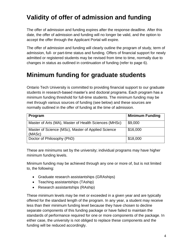### <span id="page-3-0"></span>**Validity of offer of admission and funding**

The offer of admission and funding expires after the response deadline. After this date, the offer of admission and funding will no longer be valid, and the option to accept the offer through the Applicant Portal will expire.

The offer of admission and funding will clearly outline the program of study, term of admission, full- or part-time status and funding. Offers of financial support for newly admitted or registered students may be revised from time to time, normally due to changes in status as outlined in continuation of funding (refer to page 6).

### <span id="page-3-1"></span>**Minimum funding for graduate students**

Ontario Tech University is committed to providing financial support to our graduate students in research-based master's and doctoral programs. Each program has a minimum funding threshold for full-time students. The minimum funding may be met through various sources of funding (see below) and these sources are normally outlined in the offer of funding at the time of admission.

| Program                                                      | <b>Minimum Funding</b> |
|--------------------------------------------------------------|------------------------|
| Master of Arts (MA), Master of Health Sciences (MHSc)        | \$9,000                |
| Master of Science (MSc), Master of Applied Science<br>(MASc) | \$16,000               |
| Doctor of Philosophy (PhD)                                   | \$18,000               |

These are minimums set by the university; individual programs may have higher minimum funding levels.

Minimum funding may be achieved through any one or more of, but is not limited to, the following:

- Graduate research assistantships (GRAships)
- Teaching assistantships (TAship)
- Research assistantships (RAship)

These minimum levels may be met or exceeded in a given year and are typically offered for the standard length of the program. In any year, a student may receive less than their minimum funding level because they have chosen to decline separate components of this funding package or have failed to maintain the standards of performance required for one or more components of the package. In either case, the university is not obliged to replace these components and the funding will be reduced accordingly.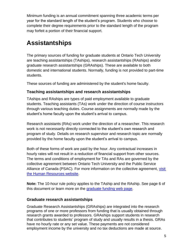Minimum funding is an annual commitment spanning three academic terms per year for the standard length of the student's program. Students who choose to complete their degree requirements prior to the standard length of the program may forfeit a portion of their financial support.

### <span id="page-4-0"></span>**Assistantships**

The primary sources of funding for graduate students at Ontario Tech University are teaching assistantships (TAships), research assistantships (RAships) and/or graduate research assistantships (GRAships). These are available to both domestic and international students. Normally, funding is not provided to part-time students.

These sources of funding are administered by the student's home faculty.

#### <span id="page-4-1"></span>**Teaching assistantships and research assistantships**

TAships and RAships are types of paid employment available to graduate students. Teaching assistants (TAs) work under the direction of course instructors through various teaching duties. Course assignments are normally made by the student's home faculty upon the student's arrival to campus.

Research assistants (RAs) work under the direction of a researcher. This research work is not necessarily directly connected to the student's own research and program of study. Details on research supervisor and research topic are normally provided by the home faculty upon the student's arrival to campus.

Both of these forms of work are paid by the hour. Any contractual increases in hourly rates will not result in a reduction of financial support from other sources. The terms and conditions of employment for TAs and RAs are governed by the collective agreement between Ontario Tech University and the Public Service Alliance of Canada (PSAC). For more information on the collective agreement, [visit](https://hr.uoit.ca/working_at_uoit/policies-and-agreements/collective_agreements/psac-collective-agreement.php)  [the Human Resources website.](https://hr.uoit.ca/working_at_uoit/policies-and-agreements/collective_agreements/psac-collective-agreement.php)

**Note:** The 10-hour rule policy applies to the TAship and the RAship. See page 6 of this document or learn more on the [graduate funding web page.](https://gradstudies.ontariotechu.ca/current_students/student_finances/graduate_funding/index.php#accordion7)

#### <span id="page-4-2"></span>**Graduate research assistantships**

<span id="page-4-3"></span>Graduate Research Assistantships (GRAships) are integrated into the research programs of one or more professors from funding that is usually obtained through research grants awarded to professors. GRAships support students in research that contributes to students' program of study and usually results in a thesis. GRAs have no hourly rate or any set value. These payments are not considered employment income by the university and no tax deductions are made at source.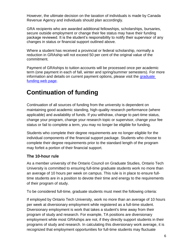However, the ultimate decision on the taxation of individuals is made by Canada Revenue Agency and individuals should plan accordingly.

GRA recipients who are awarded additional fellowships, scholarships, bursaries, secure outside employment or change their fee status may have their funding package reviewed. It is the student's responsibility to notify their supervisor of any changes in status or financial support outlined above.

Where a student has received a provincial or federal scholarship, normally a reduction in GRAship will not exceed 50 per cent of the original value of the commitment.

Payment of GRAships to tuition accounts will be processed once per academic term (one payment in each of fall, winter and spring/summer semesters). For more information and details on current payment options, please visit the *graduate* [funding web page.](https://gradstudies.uoit.ca/current_students/student_finances/graduate_funding/index.php)

### <span id="page-5-0"></span>**Continuation of funding**

Continuation of all sources of funding from the university is dependent on maintaining good academic standing, high-quality research performance (where applicable) and availability of funds. If you withdraw, change to part-time status, change your program, change your research topic or supervisor, change your fee status or fail to complete a term, you may no longer be eligible for funding.

Students who complete their degree requirements are no longer eligible for the individual components of the financial support package. Students who choose to complete their degree requirements prior to the standard length of the program may forfeit a portion of their financial support.

#### <span id="page-5-1"></span>**The 10-hour rule**

As a member university of the Ontario Council on Graduate Studies, Ontario Tech University is committed to ensuring full-time graduate students work no more than an average of 10 hours per week on campus. This rule is in place to ensure fulltime students are in a position to devote their time and energy to the requirements of their program of study.

To be considered full-time, graduate students must meet the following criteria:

If employed by Ontario Tech University, work no more than an average of 10 hours per week at diversionary employment while registered as a full-time student. Diversionary employment is work that takes a student's time away from their program of study and research. For example, TA positions are diversionary employment while most GRAships are not, if they directly support students in their programs of study and research. In calculating this diversionary work average, it is recognized that employment opportunities for full-time students may fluctuate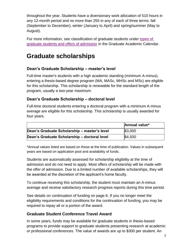throughout the year. Students have a diversionary work allocation of 510 hours in any 12-month period and no more than 255 in any of each of three terms: fall (September to December), winter (January to April) and spring/summer (May to August).

For more information, see classification of graduate students under [types of](http://catalog.uoit.ca/content.php?catoid=23&navoid=910#Types_of_graduate_students_and_offers_of_admission)  [graduate students and offers of admission](http://catalog.uoit.ca/content.php?catoid=23&navoid=910#Types_of_graduate_students_and_offers_of_admission) in the Graduate Academic Calendar.

### <span id="page-6-0"></span>**Graduate scholarships**

#### <span id="page-6-1"></span>**Dean's Graduate Scholarship – master's level**

Full-time master's students with a high academic standing (minimum A-minus), entering a thesis-based degree program (MA, MASc, MHSc and MSc) are eligible for this scholarship. This scholarship is renewable for the standard length of the program, usually a two-year maximum.

#### <span id="page-6-2"></span>**Dean's Graduate Scholarship – doctoral level**

Full-time doctoral students entering a doctoral program with a minimum A-minus average are eligible for this scholarship. This scholarship is usually awarded for four years.

|                                              | Annual value* |
|----------------------------------------------|---------------|
| Dean's Graduate Scholarship – master's level | \$3,000       |
| Dean's Graduate Scholarship - doctoral level | \$4,500       |

\*Annual values listed are based on those at the time of publication. Values in subsequent years are based on application pool and availability of funds.

Students are automatically assessed for scholarship eligibility at the time of admission and do not need to apply. Most offers of scholarship will be made with the offer of admission. Due to a limited number of available scholarships, they will be awarded at the discretion of the applicant's home faculty.

To continue receiving this scholarship, the student must maintain an A-minus average and receive satisfactory research progress reports during this time period.

See details on continuation of funding on page 6. If you no longer meet the eligibility requirements and conditions for the continuation of funding, you may be required to repay all or a portion of the award.

#### <span id="page-6-3"></span>**Graduate Student Conference Travel Award**

In some years, funds may be available for graduate students in thesis-based programs to provide support to graduate students presenting research at academic or professional conferences. The value of awards are up to \$300 per student. An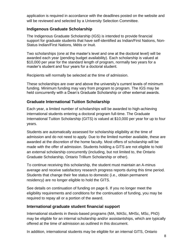application is required in accordance with the deadlines posted on the website and will be reviewed and selected by a University Selection Committee.

#### <span id="page-7-0"></span>**Indigenous Graduate Scholarship**

The Indigenous Graduate Scholarship (IGS) is intended to provide financial support for graduate students that have self-identified as Indian/First Nations, Non-Status Indian/First Nations, Métis or Inuit.

Two scholarships (one at the master's level and one at the doctoral level) will be awarded each year (pending budget availability). Each scholarship is valued at \$10,000 per year for the standard length of program, normally two years for a master's student and four years for a doctoral student.

Recipients will normally be selected at the time of admission.

These scholarships are over and above the university's current levels of minimum funding. Minimum funding may vary from program to program. The IGS may be held concurrently with a Dean's Graduate Scholarship or other external awards.

#### <span id="page-7-1"></span>**Graduate International Tuition Scholarship**

Each year, a limited number of scholarships will be awarded to high-achieving international students entering a doctoral program full-time. The Graduate International Tuition Scholarship (GITS) is valued at \$10,000 per year for up to four years.

Students are automatically assessed for scholarship eligibility at the time of admission and do not need to apply. Due to the limited number available, these are awarded at the discretion of the home faculty. Most offers of scholarship will be made with the offer of admission. Students holding a GITS are not eligible to hold an external scholarship concurrently (including, but not limited to, the Ontario Graduate Scholarship, Ontario Trillium Scholarship or other).

To continue receiving this scholarship, the student must maintain an A-minus average and receive satisfactory research progress reports during this time period. Students that change their fee status to domestic (i.e., obtain permanent residency) are no longer eligible to hold the GITS.

See details on [continuation of funding](#page-4-3) on page 6. If you no longer meet the eligibility requirements and conditions for the continuation of funding, you may be required to repay all or a portion of the award.

#### <span id="page-7-2"></span>**International graduate student financial support**

International students in thesis-based programs (MA, MASc, MHSc, MSc, PhD) may be eligible for an internal scholarship and/or assistantships, which are typically offered at the time of admission as outlined in this document.

In addition, international students may be eligible for an internal GITS, Ontario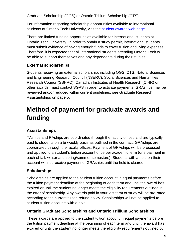Graduate Scholarship (OGS) or Ontario Trillium Scholarship (OTS).

For information regarding scholarship opportunities available to international students at Ontario Tech University, visit the [student awards](https://gradstudies.uoit.ca/current_students/student_finances/graduate_student_awards/index.php) web page.

There are limited funding opportunities available for international students at Ontario Tech University. In order to obtain a study permit, international students must submit evidence of having enough funds to cover tuition and living expenses. Therefore, it is expected that all international students attending Ontario Tech will be able to support themselves and any dependents during their studies.

#### <span id="page-8-0"></span>**External scholarships**

Students receiving an external scholarship, including OGS, OTS, Natural Sciences and Engineering Research Council (NSERC), Social Sciences and Humanities Research Council (SSHRC), Canadian Institutes of Health Research (CIHR) or other awards, must contact SGPS in order to activate payments. GRAships may be reviewed and/or reduced within current guidelines, see Graduate Research Assistantships on page 5.

# <span id="page-8-1"></span>**Method of payment for graduate awards and funding**

#### <span id="page-8-2"></span>**Assistantships**

TAships and RAships are coordinated through the faculty offices and are typically paid to students on a bi-weekly basis as outlined in the contract. GRAships are coordinated through the faculty offices. Payment of GRAships will be processed and applied to a student's tuition account once per academic term (one payment in each of fall, winter and spring/summer semesters). Students with a hold on their account will not receive payment of GRAships until the hold is cleared.

#### <span id="page-8-3"></span>**Scholarships**

Scholarships are applied to the student tuition account in equal payments before the tuition payment deadline at the beginning of each term and until the award has expired or until the student no longer meets the eligibility requirements outlined in the offer of scholarship. Any awards paid in your last term of study will be pro-rated according to the current tuition refund policy. Scholarships will not be applied to student tuition accounts with a hold.

#### <span id="page-8-4"></span>**Ontario Graduate Scholarships and Ontario Trillium Scholarships**

These awards are applied to the student tuition account in equal payments before the tuition payment deadline at the beginning of each term and until the award has expired or until the student no longer meets the eligibility requirements outlined by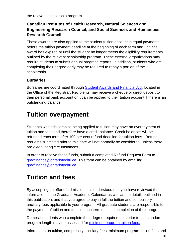the relevant scholarship program.

#### <span id="page-9-0"></span>**Canadian Institutes of Health Research, Natural Sciences and Engineering Research Council, and Social Sciences and Humanities Research Council**

These awards are also applied to the student tuition account in equal payments before the tuition payment deadline at the beginning of each term and until the award has expired or until the student no longer meets the eligibility requirements outlined by the relevant scholarship program. These external organizations may require students to submit annual progress reports. In addition, students who are completing their degree early may be required to repay a portion of the scholarship.

#### <span id="page-9-1"></span>**Bursaries**

Bursaries are coordinated through [Student Awards and Financial Aid,](https://safa.uoit.ca/) located in the Office of the Registrar. Recipients may receive a cheque or direct deposit to their personal bank account or it can be applied to their tuition account if there is an outstanding balance.

### <span id="page-9-2"></span>**Tuition overpayment**

Students with scholarships being applied to tuition may have an overpayment of tuition and fees and therefore have a credit balance. Credit balances will be refunded each term after 100 per cent refund deadline for tuition fees. Refund requests submitted prior to this date will not normally be considered, unless there are extenuating circumstances.

In order to receive these funds, submit a completed Refund Request Form to [gradfinance@ontariotechu.ca.](mailto:gradfinance@uoit.ca) This form can be obtained by emailing [gradfinance@ontariotechu.ca.](mailto:gradfinance@uoit.ca)

### <span id="page-9-3"></span>**Tuition and fees**

By accepting an offer of admission, it is understood that you have reviewed the information in the Graduate Academic Calendar as well as the details outlined in this publication, and that you agree to pay in full the tuition and compulsory ancillary fees applicable to your program. All graduate students are responsible for the payment of tuition and fees in each term until the completion of their program.

Domestic students who complete their degree requirements prior to the standard program length may be assessed for [minimum program tuition fees.](https://gradstudies.uoit.ca/current_students/tuition-fees/domestic-tuition-fees/index.php#accordion6)

Information on tuition, compulsory ancillary fees, minimum program tuition fees and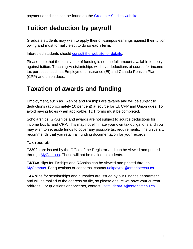### <span id="page-10-0"></span>**Tuition deduction by payroll**

Graduate students may wish to apply their on-campus earnings against their tuition owing and must formally elect to do so **each term**.

Interested students should [consult the website for details.](https://gradstudies.uoit.ca/current_students/tuition-fees/deadlines-refunds/paying-tuition-with-funding--.php)

Please note that the total value of funding is not the full amount available to apply against tuition. Teaching Assistantships will have deductions at source for income tax purposes, such as Employment Insurance (EI) and Canada Pension Plan (CPP) and union dues.

### <span id="page-10-1"></span>**Taxation of awards and funding**

Employment, such as TAships and RAships are taxable and will be subject to deductions (approximately 10 per cent) at source for EI, CPP and Union dues. To avoid paying taxes when applicable, TD1 forms must be completed.

Scholarships, GRAships and awards are not subject to source deductions for income tax, EI and CPP. This may not eliminate your own tax obligations and you may wish to set aside funds to cover any possible tax requirements. The university recommends that you retain all funding documentation for your records.

#### <span id="page-10-2"></span>**Tax receipts**

**T2202s** are issued by the Office of the Registrar and can be viewed and printed through [MyCampus.](https://uoit.ca/mycampus/) These will not be mailed to students.

**T4/T4A** slips for TAships and RAships can be viewed and printed through [MyCampus.](https://uoit.ca/mycampus/) For questions or concerns, contact [uoitpayroll@ontariotechu.ca.](mailto:uoitpayroll@uoit.ca)

**T4A** slips for scholarships and bursaries are issued by our Finance department and will be mailed to the address on file, so please ensure we have your current address. For questions or concerns, contact [uoitstudentAR@ontariotechu.ca.](mailto:uoitstudentAR@uoit.ca)